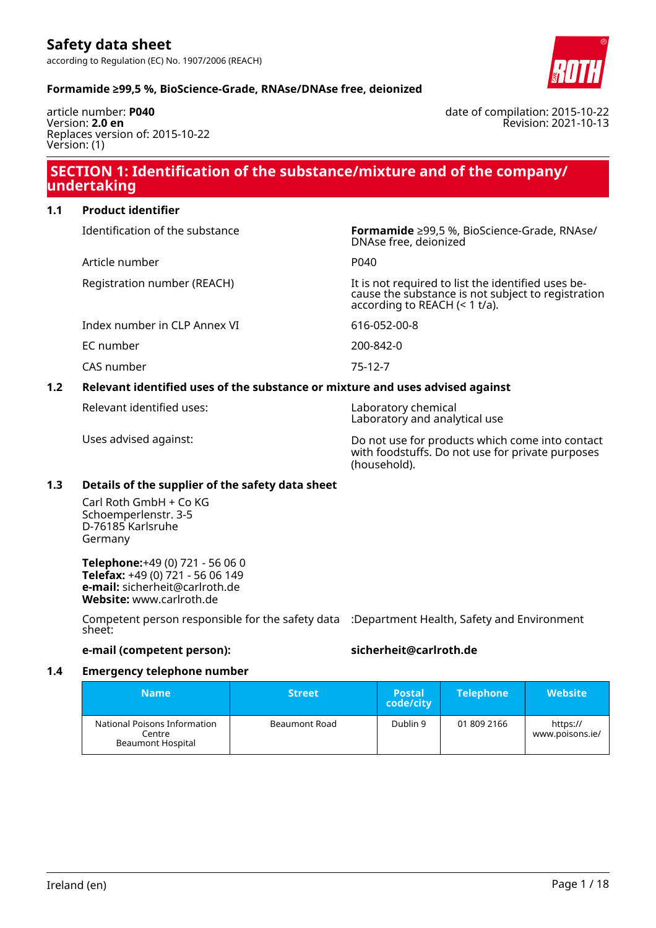article number: **P040** Version: **2.0 en** Replaces version of: 2015-10-22 Version: (1)

date of compilation: 2015-10-22 Revision: 2021-10-13

### **SECTION 1: Identification of the substance/mixture and of the company/ undertaking**

| 1.1 | <b>Product identifier</b>                                                     |                                                                                                                                              |  |  |  |
|-----|-------------------------------------------------------------------------------|----------------------------------------------------------------------------------------------------------------------------------------------|--|--|--|
|     | Identification of the substance                                               | <b>Formamide</b> ≥99,5 %, BioScience-Grade, RNAse/<br>DNAse free, deionized                                                                  |  |  |  |
|     | Article number                                                                | P040                                                                                                                                         |  |  |  |
|     | Registration number (REACH)                                                   | It is not required to list the identified uses be-<br>cause the substance is not subject to registration<br>according to REACH $($ < 1 t/a). |  |  |  |
|     | Index number in CLP Annex VI                                                  | 616-052-00-8                                                                                                                                 |  |  |  |
|     | EC number                                                                     | 200-842-0                                                                                                                                    |  |  |  |
|     | CAS number                                                                    | 75-12-7                                                                                                                                      |  |  |  |
| 1.2 | Relevant identified uses of the substance or mixture and uses advised against |                                                                                                                                              |  |  |  |

Relevant identified uses: Laboratory chemical

Laboratory and analytical use

Uses advised against: Do not use for products which come into contact with foodstuffs. Do not use for private purposes (household).

#### **1.3 Details of the supplier of the safety data sheet**

Carl Roth GmbH + Co KG Schoemperlenstr. 3-5 D-76185 Karlsruhe Germany

**Telephone:**+49 (0) 721 - 56 06 0 **Telefax:** +49 (0) 721 - 56 06 149 **e-mail:** sicherheit@carlroth.de **Website:** www.carlroth.de

Competent person responsible for the safety data :Department Health, Safety and Environment sheet:

#### **e-mail (competent person): sicherheit@carlroth.de**

#### **1.4 Emergency telephone number**

| <b>Name</b>                                                 | <b>Street</b>        | <b>Postal</b><br>code/city | <b>Telephone</b> | <b>Website</b>              |
|-------------------------------------------------------------|----------------------|----------------------------|------------------|-----------------------------|
| National Poisons Information<br>Centre<br>Beaumont Hospital | <b>Beaumont Road</b> | Dublin 9                   | 01 809 2166      | https://<br>www.poisons.ie/ |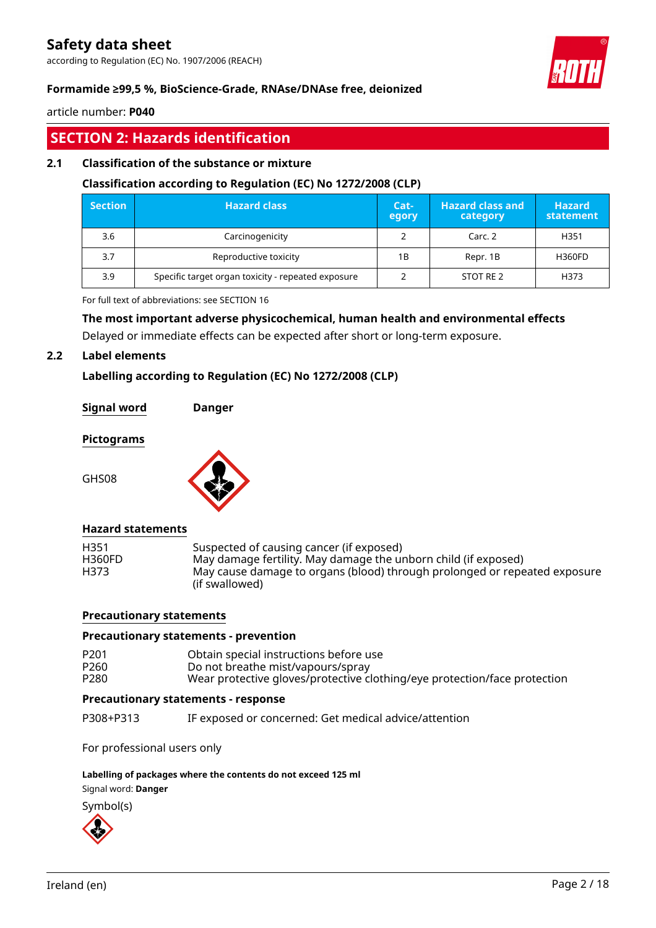according to Regulation (EC) No. 1907/2006 (REACH)



#### **Formamide ≥99,5 %, BioScience-Grade, RNAse/DNAse free, deionized**

article number: **P040**

### **SECTION 2: Hazards identification**

#### **2.1 Classification of the substance or mixture**

#### **Classification according to Regulation (EC) No 1272/2008 (CLP)**

| <b>Section</b> | <b>Hazard class</b>                                | Cat-<br>egory | <b>Hazard class and</b><br>category | <b>Hazard</b><br>statement |
|----------------|----------------------------------------------------|---------------|-------------------------------------|----------------------------|
| 3.6            | Carcinogenicity                                    |               | Carc. 2                             | H351                       |
| 3.7            | Reproductive toxicity                              | 1B            | Repr. 1B                            | <b>H360FD</b>              |
| 3.9            | Specific target organ toxicity - repeated exposure |               | STOT RE 2                           | H373                       |

For full text of abbreviations: see SECTION 16

#### **The most important adverse physicochemical, human health and environmental effects**

Delayed or immediate effects can be expected after short or long-term exposure.

#### **2.2 Label elements**

#### **Labelling according to Regulation (EC) No 1272/2008 (CLP)**

**Signal word Danger**

#### **Pictograms**

GHS08



#### **Hazard statements**

| Suspected of causing cancer (if exposed)<br>May damage fertility. May damage the unborn child (if exposed)<br>May cause damage to organs (blood) through prolonged or repeated exposure<br>(if swallowed) |
|-----------------------------------------------------------------------------------------------------------------------------------------------------------------------------------------------------------|
|                                                                                                                                                                                                           |

#### **Precautionary statements**

#### **Precautionary statements - prevention**

| P <sub>201</sub> | Obtain special instructions before use                                    |
|------------------|---------------------------------------------------------------------------|
| P <sub>260</sub> | Do not breathe mist/vapours/spray                                         |
| P <sub>280</sub> | Wear protective gloves/protective clothing/eye protection/face protection |

#### **Precautionary statements - response**

P308+P313 IF exposed or concerned: Get medical advice/attention

For professional users only

#### **Labelling of packages where the contents do not exceed 125 ml**

Signal word: **Danger**

Symbol(s)

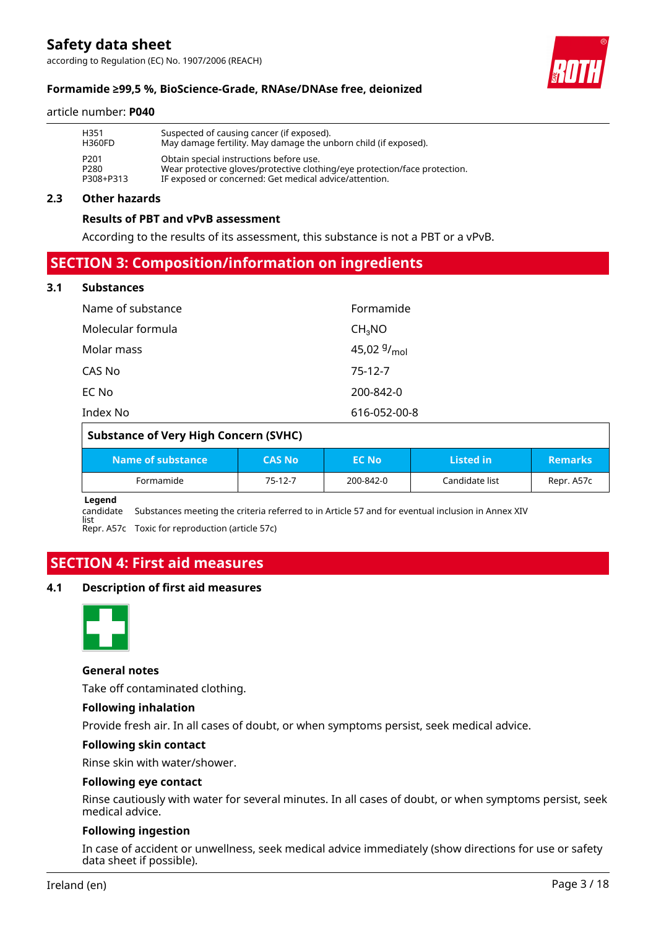according to Regulation (EC) No. 1907/2006 (REACH)



#### **Formamide ≥99,5 %, BioScience-Grade, RNAse/DNAse free, deionized**

#### article number: **P040**

| H351             | Suspected of causing cancer (if exposed).                                  |
|------------------|----------------------------------------------------------------------------|
| <b>H360FD</b>    | May damage fertility. May damage the unborn child (if exposed).            |
| P <sub>201</sub> | Obtain special instructions before use.                                    |
| P <sub>280</sub> | Wear protective gloves/protective clothing/eye protection/face protection. |
| P308+P313        | IF exposed or concerned: Get medical advice/attention.                     |

#### **2.3 Other hazards**

#### **Results of PBT and vPvB assessment**

According to the results of its assessment, this substance is not a PBT or a vPvB.

### **SECTION 3: Composition/information on ingredients**

#### **3.1 Substances**

| Name of substance | Formamide          |
|-------------------|--------------------|
| Molecular formula | CH <sub>3</sub> NO |
| Molar mass        | 45,02 $9/_{mol}$   |
| CAS No            | 75-12-7            |
| EC No             | 200-842-0          |
| Index No          | 616-052-00-8       |

| <b>Substance of Very High Concern (SVHC)</b> |               |              |                |                |  |  |
|----------------------------------------------|---------------|--------------|----------------|----------------|--|--|
| Name of substance                            | <b>CAS No</b> | <b>EC No</b> | Listed in      | <b>Remarks</b> |  |  |
| Formamide                                    | 75-12-7       | 200-842-0    | Candidate list | Repr. A57c     |  |  |

**Legend**

candidate Substances meeting the criteria referred to in Article 57 and for eventual inclusion in Annex XIV

list Repr. A57c Toxic for reproduction (article 57c)

### **SECTION 4: First aid measures**

#### **4.1 Description of first aid measures**



#### **General notes**

Take off contaminated clothing.

#### **Following inhalation**

Provide fresh air. In all cases of doubt, or when symptoms persist, seek medical advice.

#### **Following skin contact**

Rinse skin with water/shower.

#### **Following eye contact**

Rinse cautiously with water for several minutes. In all cases of doubt, or when symptoms persist, seek medical advice.

#### **Following ingestion**

In case of accident or unwellness, seek medical advice immediately (show directions for use or safety data sheet if possible).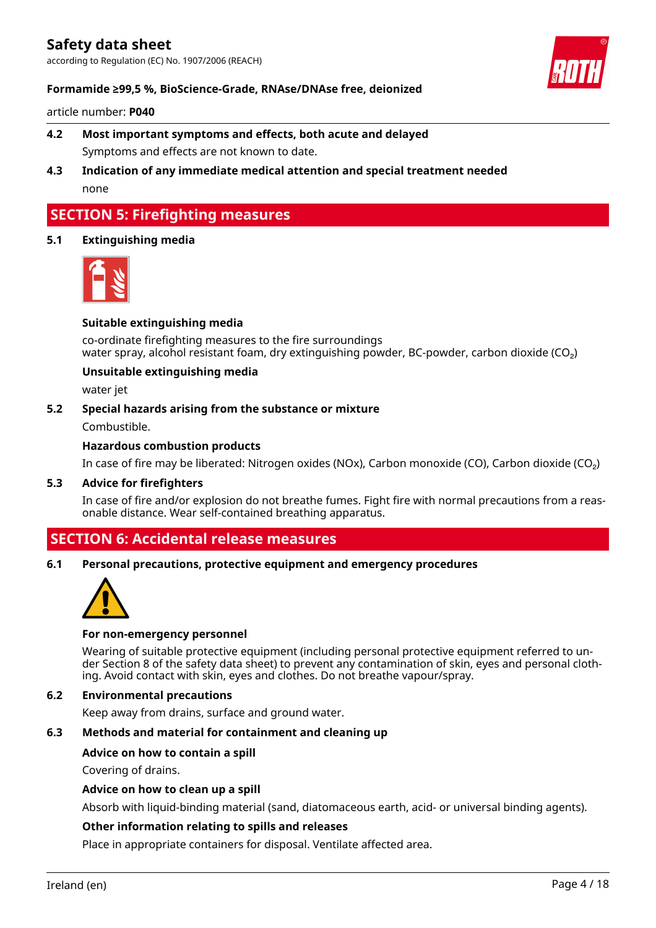according to Regulation (EC) No. 1907/2006 (REACH)



#### **Formamide ≥99,5 %, BioScience-Grade, RNAse/DNAse free, deionized**

article number: **P040**

- **4.2 Most important symptoms and effects, both acute and delayed** Symptoms and effects are not known to date.
- **4.3 Indication of any immediate medical attention and special treatment needed** none

### **SECTION 5: Firefighting measures**

#### **5.1 Extinguishing media**



#### **Suitable extinguishing media**

co-ordinate firefighting measures to the fire surroundings water spray, alcohol resistant foam, dry extinguishing powder, BC-powder, carbon dioxide (CO<sub>2</sub>)

#### **Unsuitable extinguishing media**

water jet

#### **5.2 Special hazards arising from the substance or mixture**

Combustible.

#### **Hazardous combustion products**

In case of fire may be liberated: Nitrogen oxides (NOx), Carbon monoxide (CO), Carbon dioxide (CO₂)

#### **5.3 Advice for firefighters**

In case of fire and/or explosion do not breathe fumes. Fight fire with normal precautions from a reasonable distance. Wear self-contained breathing apparatus.

### **SECTION 6: Accidental release measures**

#### **6.1 Personal precautions, protective equipment and emergency procedures**



#### **For non-emergency personnel**

Wearing of suitable protective equipment (including personal protective equipment referred to under Section 8 of the safety data sheet) to prevent any contamination of skin, eyes and personal clothing. Avoid contact with skin, eyes and clothes. Do not breathe vapour/spray.

#### **6.2 Environmental precautions**

Keep away from drains, surface and ground water.

#### **6.3 Methods and material for containment and cleaning up**

#### **Advice on how to contain a spill**

Covering of drains.

#### **Advice on how to clean up a spill**

Absorb with liquid-binding material (sand, diatomaceous earth, acid- or universal binding agents).

#### **Other information relating to spills and releases**

Place in appropriate containers for disposal. Ventilate affected area.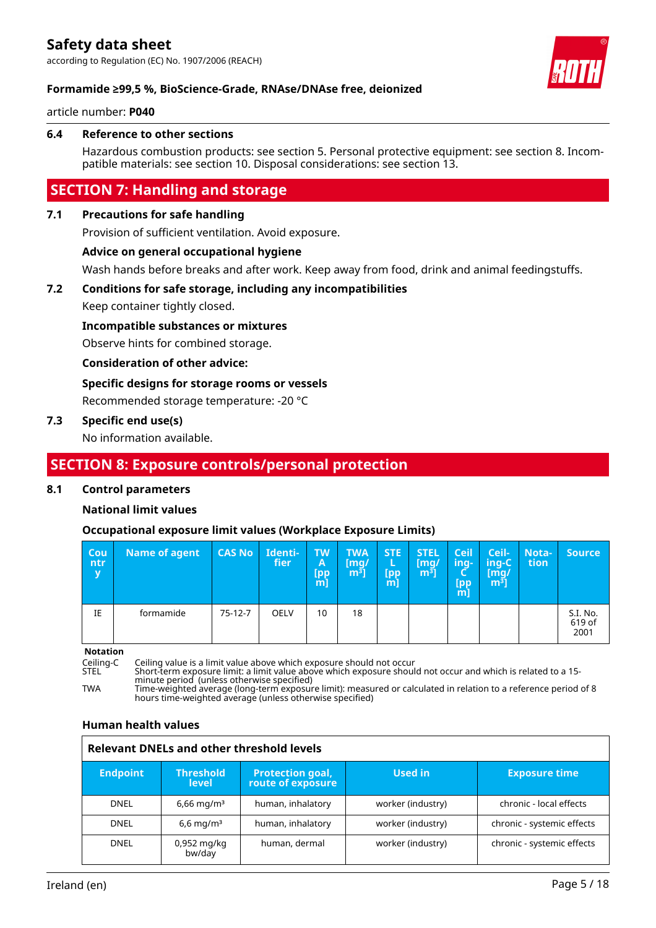according to Regulation (EC) No. 1907/2006 (REACH)



#### **Formamide ≥99,5 %, BioScience-Grade, RNAse/DNAse free, deionized**

article number: **P040**

#### **6.4 Reference to other sections**

Hazardous combustion products: see section 5. Personal protective equipment: see section 8. Incompatible materials: see section 10. Disposal considerations: see section 13.

### **SECTION 7: Handling and storage**

#### **7.1 Precautions for safe handling**

Provision of sufficient ventilation. Avoid exposure.

#### **Advice on general occupational hygiene**

Wash hands before breaks and after work. Keep away from food, drink and animal feedingstuffs.

#### **7.2 Conditions for safe storage, including any incompatibilities**

Keep container tightly closed.

**Incompatible substances or mixtures**

Observe hints for combined storage.

**Consideration of other advice:**

#### **Specific designs for storage rooms or vessels**

Recommended storage temperature: -20 °C

#### **7.3 Specific end use(s)**

No information available.

### **SECTION 8: Exposure controls/personal protection**

#### **8.1 Control parameters**

#### **National limit values**

#### **Occupational exposure limit values (Workplace Exposure Limits)**

| <b>Cou</b><br>ntr<br>$\mathbf v$ | <b>Name of agent</b> | <b>CAS No</b> | Identi-<br>fier | <b>TW</b><br>A<br>[pp<br>$m$ ] | <b>TWA</b><br>[mq/<br>m <sup>3</sup> | <b>STE</b><br>L<br>[pp<br>[m] | <b>STEL</b><br>[mg/<br>$\lfloor m^3 \rfloor$ | <b>Ceil</b><br>ing-<br>[pp<br>m] | Ceil-<br>ing-C<br>[mg]<br>$\left[\mathsf{m}^{\mathsf{s}}\right]$ | Nota-<br>tion. | <b>Source</b>              |
|----------------------------------|----------------------|---------------|-----------------|--------------------------------|--------------------------------------|-------------------------------|----------------------------------------------|----------------------------------|------------------------------------------------------------------|----------------|----------------------------|
| IE                               | formamide            | $75-12-7$     | <b>OELV</b>     | 10                             | 18                                   |                               |                                              |                                  |                                                                  |                | S.I. No.<br>619 of<br>2001 |

**Notation**<br>Ceiling-C<br>STEL

Ceiling-C Ceiling value is a limit value above which exposure should not occur

STEL Short-term exposure limit: a limit value above which exposure should not occur and which is related to a 15 minute period (unless otherwise specified)

TWA Time-weighted average (long-term exposure limit): measured or calculated in relation to a reference period of 8 hours time-weighted average (unless otherwise specified)

#### **Human health values**

| <b>Relevant DNELs and other threshold levels</b> |                                  |                                              |                   |                            |  |  |  |
|--------------------------------------------------|----------------------------------|----------------------------------------------|-------------------|----------------------------|--|--|--|
| <b>Endpoint</b>                                  | <b>Threshold</b><br><b>level</b> | <b>Protection goal,</b><br>route of exposure | Used in           | <b>Exposure time</b>       |  |  |  |
| <b>DNEL</b>                                      | $6,66 \,\mathrm{mq/m^3}$         | human, inhalatory                            | worker (industry) | chronic - local effects    |  |  |  |
| <b>DNEL</b>                                      | $6.6 \,\mathrm{mq/m^3}$          | human, inhalatory                            | worker (industry) | chronic - systemic effects |  |  |  |
| <b>DNEL</b>                                      | 0,952 mg/kg<br>bw/day            | human, dermal                                | worker (industry) | chronic - systemic effects |  |  |  |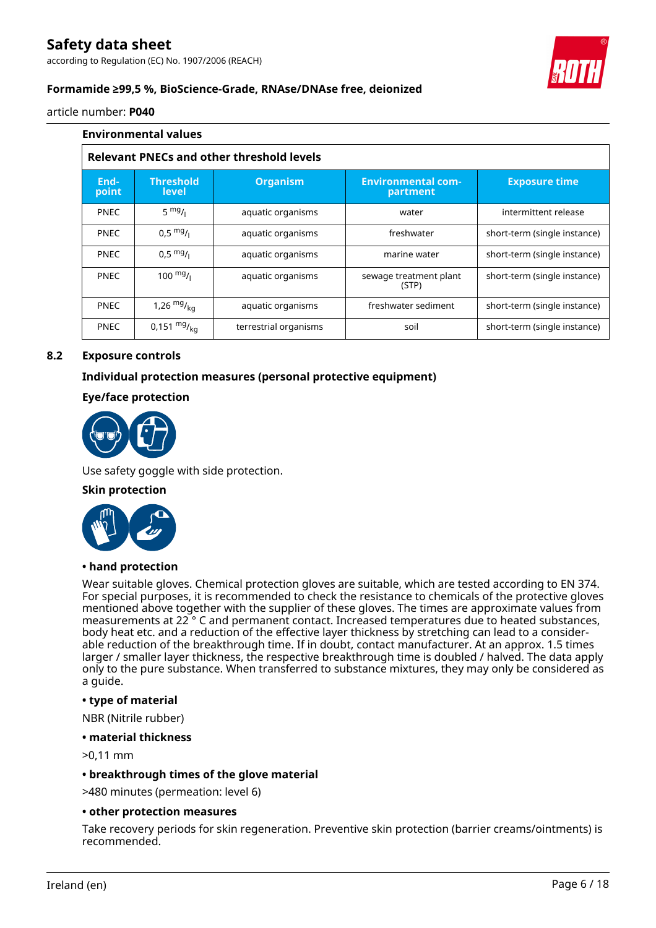according to Regulation (EC) No. 1907/2006 (REACH)



#### **Formamide ≥99,5 %, BioScience-Grade, RNAse/DNAse free, deionized**

article number: **P040**

|                                                  | <b>Environmental values</b>      |                       |                                       |                              |  |  |  |
|--------------------------------------------------|----------------------------------|-----------------------|---------------------------------------|------------------------------|--|--|--|
| <b>Relevant PNECs and other threshold levels</b> |                                  |                       |                                       |                              |  |  |  |
| End-<br>point                                    | <b>Threshold</b><br><b>level</b> | <b>Organism</b>       | <b>Environmental com-</b><br>partment | <b>Exposure time</b>         |  |  |  |
| <b>PNEC</b>                                      | $5 \frac{mg}{l}$                 | aquatic organisms     | water                                 | intermittent release         |  |  |  |
| <b>PNEC</b>                                      | $0.5 \frac{mg}{l}$               | aquatic organisms     | freshwater                            | short-term (single instance) |  |  |  |
| <b>PNEC</b>                                      | $0,5 \frac{mg}{l}$               | aquatic organisms     | marine water                          | short-term (single instance) |  |  |  |
| <b>PNEC</b>                                      | 100 $mg/$                        | aquatic organisms     | sewage treatment plant<br>(STP)       | short-term (single instance) |  |  |  |
| <b>PNEC</b>                                      | 1,26 $mg/_{ka}$                  | aquatic organisms     | freshwater sediment                   | short-term (single instance) |  |  |  |
| <b>PNEC</b>                                      | 0,151 $mg/_{ka}$                 | terrestrial organisms | soil                                  | short-term (single instance) |  |  |  |

#### **8.2 Exposure controls**

#### **Individual protection measures (personal protective equipment)**

#### **Eye/face protection**



Use safety goggle with side protection.

#### **Skin protection**



#### **• hand protection**

Wear suitable gloves. Chemical protection gloves are suitable, which are tested according to EN 374. For special purposes, it is recommended to check the resistance to chemicals of the protective gloves mentioned above together with the supplier of these gloves. The times are approximate values from measurements at 22 ° C and permanent contact. Increased temperatures due to heated substances, body heat etc. and a reduction of the effective layer thickness by stretching can lead to a considerable reduction of the breakthrough time. If in doubt, contact manufacturer. At an approx. 1.5 times larger / smaller layer thickness, the respective breakthrough time is doubled / halved. The data apply only to the pure substance. When transferred to substance mixtures, they may only be considered as a guide.

#### **• type of material**

NBR (Nitrile rubber)

#### **• material thickness**

>0,11 mm

#### **• breakthrough times of the glove material**

>480 minutes (permeation: level 6)

#### **• other protection measures**

Take recovery periods for skin regeneration. Preventive skin protection (barrier creams/ointments) is recommended.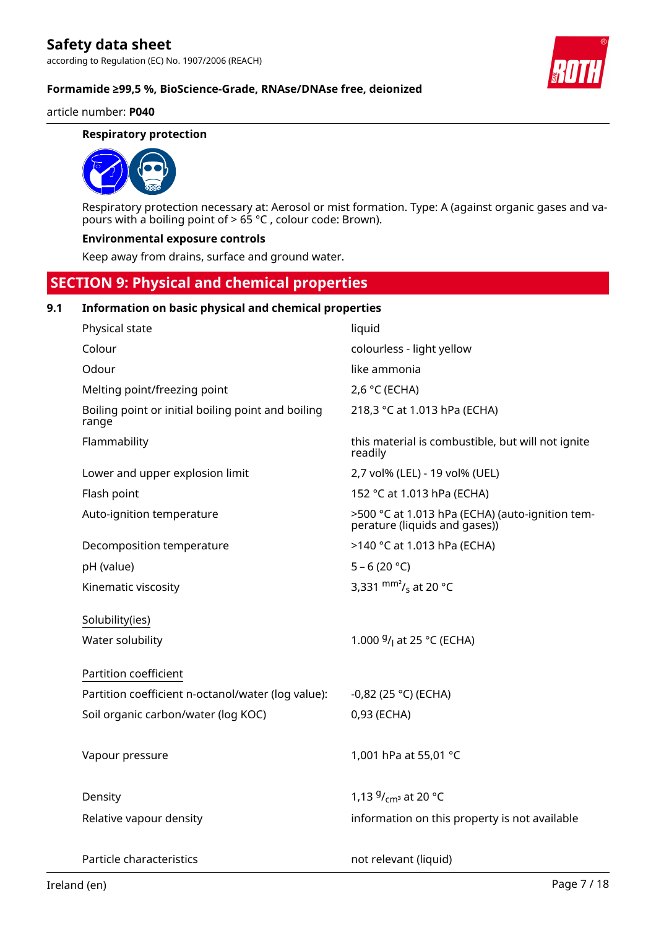#### article number: **P040**

#### **Respiratory protection**



Respiratory protection necessary at: Aerosol or mist formation. Type: A (against organic gases and vapours with a boiling point of > 65 °C , colour code: Brown).

#### **Environmental exposure controls**

Keep away from drains, surface and ground water.

### **SECTION 9: Physical and chemical properties**

#### **9.1 Information on basic physical and chemical properties**

| Physical state                                              | liquid                                                                           |
|-------------------------------------------------------------|----------------------------------------------------------------------------------|
| Colour                                                      | colourless - light yellow                                                        |
| Odour                                                       | like ammonia                                                                     |
| Melting point/freezing point                                | 2,6 °C (ECHA)                                                                    |
| Boiling point or initial boiling point and boiling<br>range | 218,3 °C at 1.013 hPa (ECHA)                                                     |
| Flammability                                                | this material is combustible, but will not ignite<br>readily                     |
| Lower and upper explosion limit                             | 2,7 vol% (LEL) - 19 vol% (UEL)                                                   |
| Flash point                                                 | 152 °C at 1.013 hPa (ECHA)                                                       |
| Auto-ignition temperature                                   | >500 °C at 1.013 hPa (ECHA) (auto-ignition tem-<br>perature (liquids and gases)) |
| Decomposition temperature                                   | >140 °C at 1.013 hPa (ECHA)                                                      |
| pH (value)                                                  | $5 - 6(20 °C)$                                                                   |
| Kinematic viscosity                                         | 3,331 $\frac{mm^2}{s}$ at 20 °C                                                  |
|                                                             |                                                                                  |
| Solubility(ies)                                             |                                                                                  |
| Water solubility                                            | 1.000 $9/1$ at 25 °C (ECHA)                                                      |
| Partition coefficient                                       |                                                                                  |
| Partition coefficient n-octanol/water (log value):          | $-0,82$ (25 °C) (ECHA)                                                           |
| Soil organic carbon/water (log KOC)                         | 0,93 (ECHA)                                                                      |
|                                                             |                                                                                  |
| Vapour pressure                                             | 1,001 hPa at 55,01 °C                                                            |
|                                                             |                                                                                  |
| Density                                                     | 1,13 $9/_{cm^3}$ at 20 °C                                                        |
| Relative vapour density                                     | information on this property is not available                                    |
|                                                             |                                                                                  |
| Particle characteristics                                    | not relevant (liquid)                                                            |

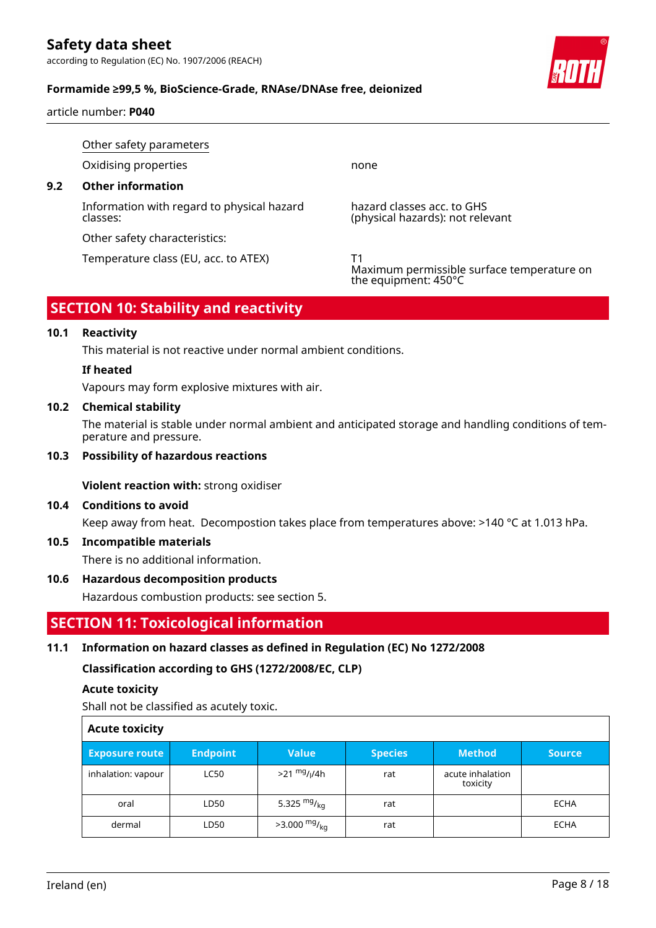according to Regulation (EC) No. 1907/2006 (REACH)

#### **Formamide ≥99,5 %, BioScience-Grade, RNAse/DNAse free, deionized**

article number: **P040**

Other safety parameters Oxidising properties none **9.2 Other information** Information with regard to physical hazard classes: hazard classes acc. to GHS (physical hazards): not relevant Other safety characteristics: Temperature class (EU, acc. to ATEX) T1

### **SECTION 10: Stability and reactivity**

#### **10.1 Reactivity**

This material is not reactive under normal ambient conditions.

#### **If heated**

Vapours may form explosive mixtures with air.

#### **10.2 Chemical stability**

The material is stable under normal ambient and anticipated storage and handling conditions of temperature and pressure.

#### **10.3 Possibility of hazardous reactions**

**Violent reaction with:** strong oxidiser

#### **10.4 Conditions to avoid**

Keep away from heat. Decompostion takes place from temperatures above: >140 °C at 1.013 hPa.

#### **10.5 Incompatible materials**

There is no additional information.

#### **10.6 Hazardous decomposition products**

Hazardous combustion products: see section 5.

### **SECTION 11: Toxicological information**

#### **11.1 Information on hazard classes as defined in Regulation (EC) No 1272/2008**

**Classification according to GHS (1272/2008/EC, CLP)**

#### **Acute toxicity**

Shall not be classified as acutely toxic.

| <b>Acute toxicity</b> |                 |                                       |                |                              |               |
|-----------------------|-----------------|---------------------------------------|----------------|------------------------------|---------------|
| <b>Exposure route</b> | <b>Endpoint</b> | <b>Value</b>                          | <b>Species</b> | <b>Method</b>                | <b>Source</b> |
| inhalation: vapour    | <b>LC50</b>     | $>21 \frac{mg}{l}$ / <sub>l</sub> /4h | rat            | acute inhalation<br>toxicity |               |
| oral                  | LD50            | 5.325 $mg/kq$                         | rat            |                              | <b>ECHA</b>   |
| dermal                | LD50            | $>3.000$ mg/ <sub>kg</sub>            | rat            |                              | <b>ECHA</b>   |

Г



Maximum permissible surface temperature on the equipment: 450°C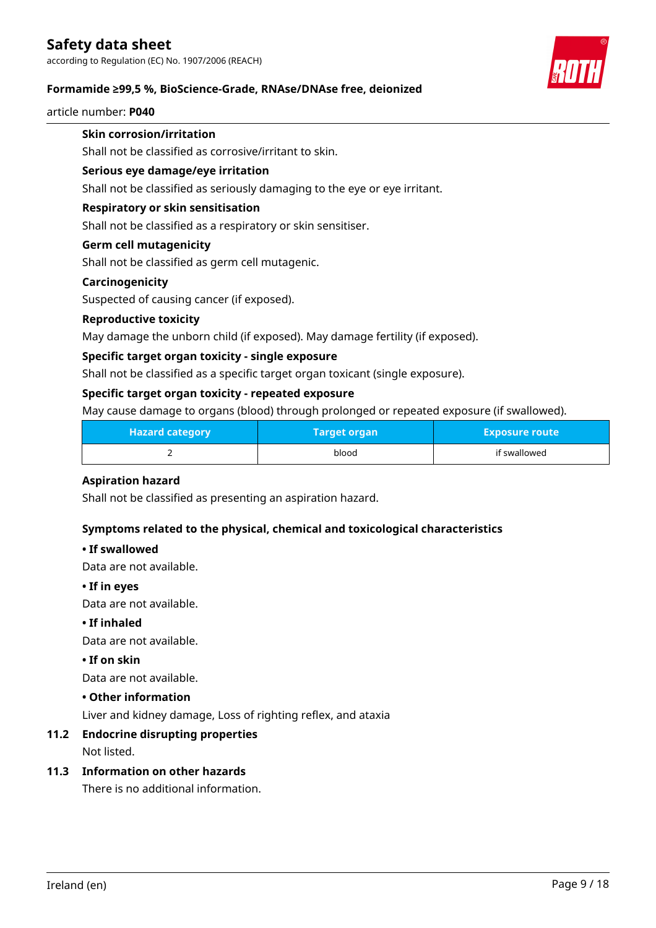according to Regulation (EC) No. 1907/2006 (REACH)

#### **Formamide ≥99,5 %, BioScience-Grade, RNAse/DNAse free, deionized**

article number: **P040**

### **Skin corrosion/irritation**

Shall not be classified as corrosive/irritant to skin.

#### **Serious eye damage/eye irritation**

Shall not be classified as seriously damaging to the eye or eye irritant.

#### **Respiratory or skin sensitisation**

Shall not be classified as a respiratory or skin sensitiser.

#### **Germ cell mutagenicity**

Shall not be classified as germ cell mutagenic.

#### **Carcinogenicity**

Suspected of causing cancer (if exposed).

#### **Reproductive toxicity**

May damage the unborn child (if exposed). May damage fertility (if exposed).

#### **Specific target organ toxicity - single exposure**

Shall not be classified as a specific target organ toxicant (single exposure).

#### **Specific target organ toxicity - repeated exposure**

May cause damage to organs (blood) through prolonged or repeated exposure (if swallowed).

| <b>Hazard category</b> | <b>Target organ</b> | <b>Exposure route</b> |  |
|------------------------|---------------------|-----------------------|--|
|                        | blood               | if swallowed          |  |

#### **Aspiration hazard**

Shall not be classified as presenting an aspiration hazard.

#### **Symptoms related to the physical, chemical and toxicological characteristics**

#### **• If swallowed**

Data are not available.

#### **• If in eyes**

Data are not available.

#### **• If inhaled**

Data are not available.

#### **• If on skin**

Data are not available.

#### **• Other information**

Liver and kidney damage, Loss of righting reflex, and ataxia

#### **11.2 Endocrine disrupting properties**

Not listed.

#### **11.3 Information on other hazards**

There is no additional information.

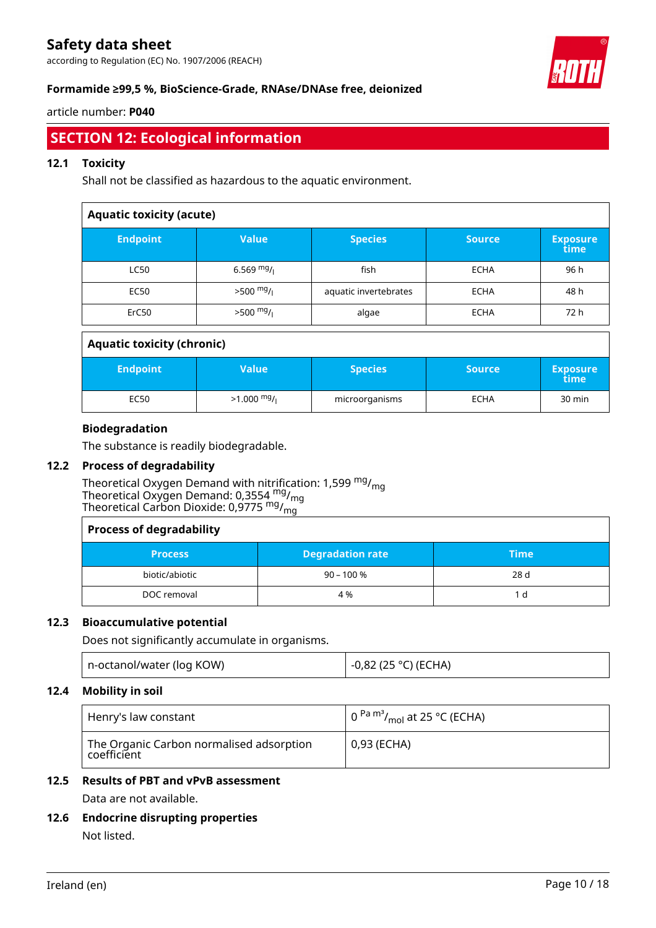according to Regulation (EC) No. 1907/2006 (REACH)



#### **Formamide ≥99,5 %, BioScience-Grade, RNAse/DNAse free, deionized**

#### article number: **P040**

### **SECTION 12: Ecological information**

#### **12.1 Toxicity**

Shall not be classified as hazardous to the aquatic environment.

| <b>Aquatic toxicity (acute)</b>   |              |                       |               |                         |  |
|-----------------------------------|--------------|-----------------------|---------------|-------------------------|--|
| <b>Endpoint</b>                   | <b>Value</b> | <b>Species</b>        | <b>Source</b> | <b>Exposure</b><br>time |  |
| <b>LC50</b>                       | 6.569 $mg/$  | fish                  | <b>ECHA</b>   | 96 h                    |  |
| <b>EC50</b>                       | $>500$ mg/   | aquatic invertebrates | <b>ECHA</b>   | 48 h                    |  |
| ErC <sub>50</sub>                 | $>500$ mg/   | algae                 | <b>ECHA</b>   | 72 h                    |  |
| <b>Aquatic toxicity (chronic)</b> |              |                       |               |                         |  |
| <b>Endpoint</b>                   | <b>Value</b> | <b>Species</b>        | <b>Source</b> | <b>Exposure</b><br>time |  |
| <b>EC50</b>                       | $>1.000$ mg/ | microorganisms        | <b>ECHA</b>   | 30 min                  |  |

#### **Biodegradation**

The substance is readily biodegradable.

#### **12.2 Process of degradability**

Theoretical Oxygen Demand with nitrification: 1,599 <sup>mg</sup>/<sub>mg</sub> Theoretical Oxygen Demand: 0,3554  $^{\mathsf{mg}}\prime_{\mathsf{mg}}$ Theoretical Carbon Dioxide: 0,9775  $mg/mq$ 

| <b>Process of degradability</b> |                         |             |  |  |
|---------------------------------|-------------------------|-------------|--|--|
| <b>Process</b>                  | <b>Degradation rate</b> | <b>Time</b> |  |  |
| biotic/abiotic                  | $90 - 100 %$            | 28 d        |  |  |
| DOC removal                     | 4 %                     | d           |  |  |

#### **12.3 Bioaccumulative potential**

Does not significantly accumulate in organisms.

| n-octanol/water (log KOW) | -0,82 (25 °C) (ECHA) |
|---------------------------|----------------------|
|---------------------------|----------------------|

#### **12.4 Mobility in soil**

| Henry's law constant                                    | $\frac{1}{2}$ 0 $\frac{Pa \text{ m}^3}{m_{\Omega}}$ at 25 °C (ECHA) |  |  |
|---------------------------------------------------------|---------------------------------------------------------------------|--|--|
| The Organic Carbon normalised adsorption<br>coefficient | 0,93 (ECHA)                                                         |  |  |

### **12.5 Results of PBT and vPvB assessment**

Data are not available.

**12.6 Endocrine disrupting properties** Not listed.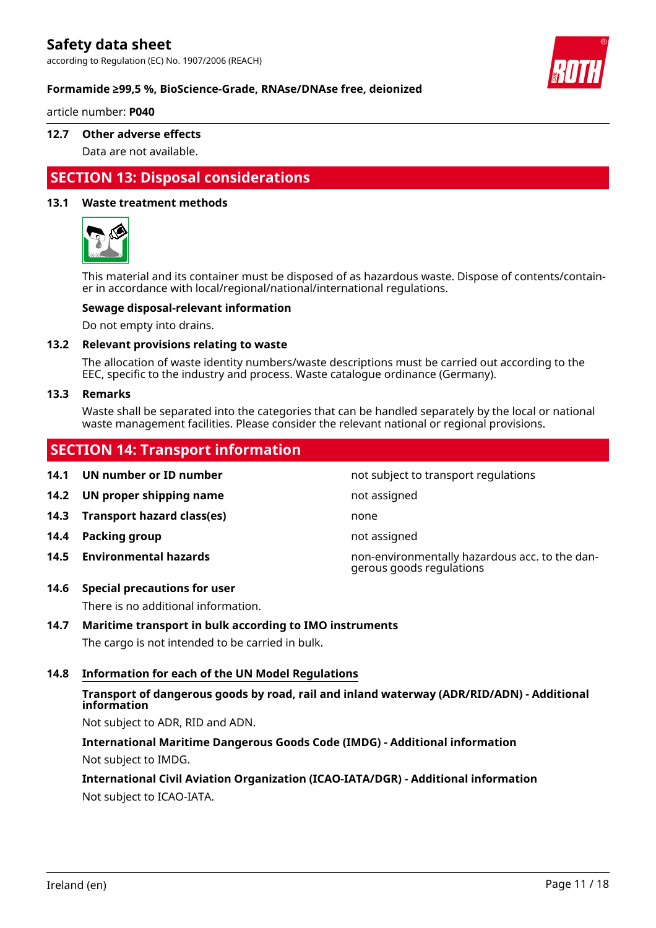according to Regulation (EC) No. 1907/2006 (REACH)



#### **Formamide ≥99,5 %, BioScience-Grade, RNAse/DNAse free, deionized**

article number: **P040**

#### **12.7 Other adverse effects**

Data are not available.

### **SECTION 13: Disposal considerations**

#### **13.1 Waste treatment methods**



This material and its container must be disposed of as hazardous waste. Dispose of contents/container in accordance with local/regional/national/international regulations.

#### **Sewage disposal-relevant information**

Do not empty into drains.

#### **13.2 Relevant provisions relating to waste**

The allocation of waste identity numbers/waste descriptions must be carried out according to the EEC, specific to the industry and process. Waste catalogue ordinance (Germany).

#### **13.3 Remarks**

Waste shall be separated into the categories that can be handled separately by the local or national waste management facilities. Please consider the relevant national or regional provisions.

### **SECTION 14: Transport information**

**14.1 UN number or ID number 14.1 UN number** not subject to transport regulations **14.2 UN proper shipping name** not assigned **14.3 Transport hazard class(es)** none **14.4 Packing group not assigned 14.5 Environmental hazards** non-environmentally hazardous acc. to the dangerous goods regulations

#### **14.6 Special precautions for user**

There is no additional information.

#### **14.7 Maritime transport in bulk according to IMO instruments**

The cargo is not intended to be carried in bulk.

#### **14.8 Information for each of the UN Model Regulations**

#### **Transport of dangerous goods by road, rail and inland waterway (ADR/RID/ADN) - Additional information**

Not subject to ADR, RID and ADN.

**International Maritime Dangerous Goods Code (IMDG) - Additional information** Not subject to IMDG.

#### **International Civil Aviation Organization (ICAO-IATA/DGR) - Additional information** Not subject to ICAO-IATA.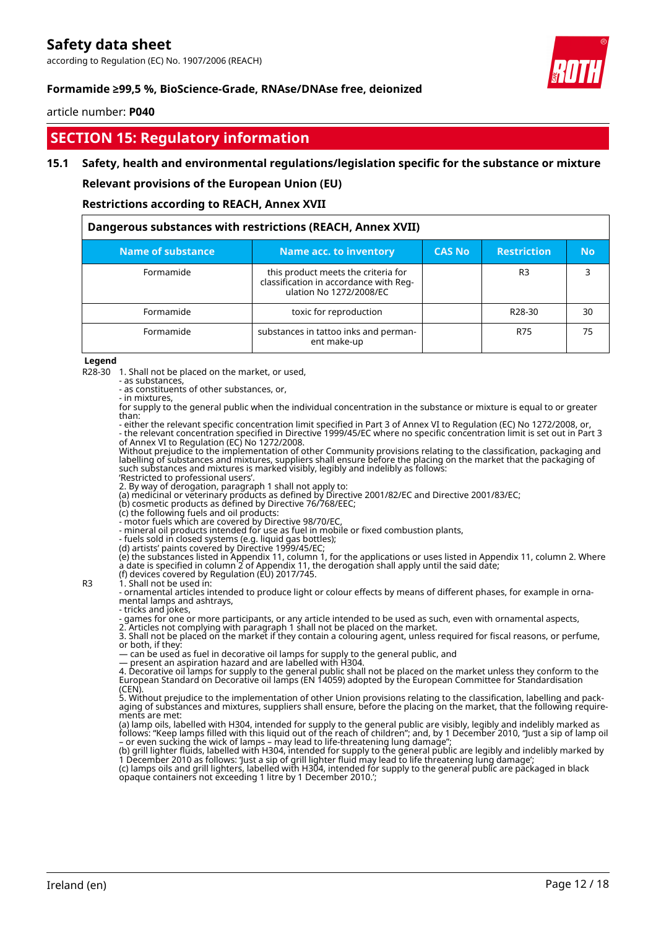according to Regulation (EC) No. 1907/2006 (REACH)

#### **Formamide ≥99,5 %, BioScience-Grade, RNAse/DNAse free, deionized**

#### article number: **P040**

### **SECTION 15: Regulatory information**

#### **15.1 Safety, health and environmental regulations/legislation specific for the substance or mixture**

**Relevant provisions of the European Union (EU)**

#### **Restrictions according to REACH, Annex XVII**

| Dangerous substances with restrictions (REACH, Annex XVII) |                                                                                                          |               |                     |           |  |
|------------------------------------------------------------|----------------------------------------------------------------------------------------------------------|---------------|---------------------|-----------|--|
| Name of substance                                          | Name acc. to inventory                                                                                   | <b>CAS No</b> | <b>Restriction</b>  | <b>No</b> |  |
| Formamide                                                  | this product meets the criteria for<br>classification in accordance with Reg-<br>ulation No 1272/2008/EC |               | R <sub>3</sub>      |           |  |
| Formamide                                                  | toxic for reproduction                                                                                   |               | R <sub>28</sub> -30 | 30        |  |
| Formamide                                                  | substances in tattoo inks and perman-<br>ent make-up                                                     |               | R75                 | 75        |  |

#### **Legend**

R28-30 1. Shall not be placed on the market, or used,

- as substances,

- as constituents of other substances, or, - in mixtures,

for supply to the general public when the individual concentration in the substance or mixture is equal to or greater than:

- either the relevant specific concentration limit specified in Part 3 of Annex VI to Regulation (EC) No 1272/2008, or, - the relevant concentration specified in Directive 1999/45/EC where no specific concentration limit is set out in Part 3 of Annex VI to Regulation (EC) No 1272/2008.

Without prejudice to the implementation of other Community provisions relating to the classification, packaging and labelling of substances and mixtures, suppliers shall ensure before the placing on the market that the packaging of such substances and mixtures is marked visibly, legibly and indelibly as follows:

'Restricted to professional users'.

2. By way of derogation, paragraph 1 shall not apply to: (a) medicinal or veterinary products as defined by Directive 2001/82/EC and Directive 2001/83/EC;

(b) cosmetic products as defined by Directive 76/768/EEC;

(c) the following fuels and oil products:

- motor fuels which are covered by Directive 98/70/EC,

- mineral oil products intended for use as fuel in mobile or fixed combustion plants,

- fuels sold in closed systems (e.g. liquid gas bottles);

(d) artists' paints covered by Directive 1999/45/EC; (e) the substances listed in Appendix 11, column 1, for the applications or uses listed in Appendix 11, column 2. Where a date is specified in column 2 of Appendix 11, the derogation shall apply until the said date;

(f) devices covered by Regulation (EU) 2017/745.

R3  $\lambda$ . Shall not be used in:

- ornamental articles intended to produce light or colour effects by means of different phases, for example in ornamental lamps and ashtrays, - tricks and jokes,

- games for one or more participants, or any article intended to be used as such, even with ornamental aspects,

2. Articles not complying with paragraph 1 shall not be placed on the market. 3. Shall not be placed on the market if they contain a colouring agent, unless required for fiscal reasons, or perfume, or both, if they:

— can be used as fuel in decorative oil lamps for supply to the general public, and

— present an aspiration hazard and are labelled with H304.

4. Decorative oil lamps for supply to the general public shall not be placed on the market unless they conform to the European Standard on Decorative oil lamps (EN 14059) adopted by the European Committee for Standardisation (CEN).

5. Without prejudice to the implementation of other Union provisions relating to the classification, labelling and packaging of substances and mixtures, suppliers shall ensure, before the placing on the market, that the following requirements are met:

(a) lamp oils, labelled with H304, intended for supply to the general public are visibly, legibly and indelibly marked as follows: "Keep lamps filled with this liquid out of the reach of children"; and, by 1 December 2010, "Just a sip of lamp oil – or even sucking the wick of lamps – may lead to life-threatening lung damage";

(b) grill lighter fluids, labelled with H304, intended for supply to the general public are legibly and indelibly marked by 1 December 2010 as follows: 'Just a sip of grill lighter fluid may lead to life threatening lung damage'; (c) lamps oils and grill lighters, labelled with H304, intended for supply to the general public are packaged in black opaque containers not exceeding 1 litre by 1 December 2010.';

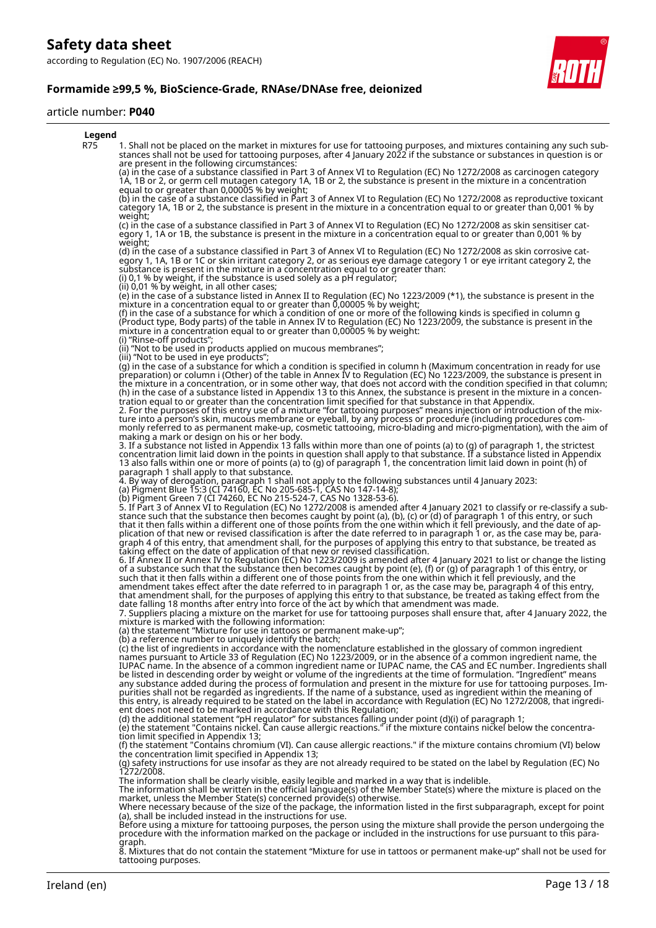

#### article number: **P040**



tattooing purposes.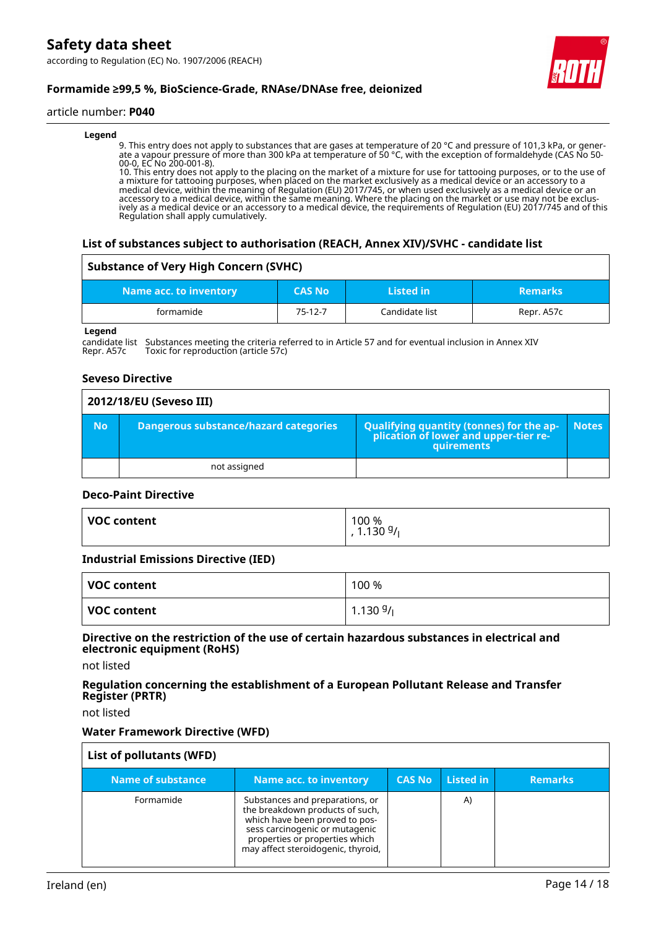#### article number: **P040**

#### **Legend**

9. This entry does not apply to substances that are gases at temperature of 20 °C and pressure of 101,3 kPa, or generate a vapour pressure of more than 300 kPa at temperature of 50 °C, with the exception of formaldehyde (CAS No 50- 00-0, EC No 200-001-8).

10. This entry does not apply to the placing on the market of a mixture for use for tattooing purposes, or to the use of a mixture for tattooing purposes, when placed on the market exclusively as a medical device or an accessory to a medical device, within the meaning of Regulation (EU) 2017/745, or when used exclusively as a medical device or an accessory to a medical device, within the same meaning. Where the placing on the market or use may not be exclusively as a medical device or an accessory to a medical device, the requirements of Regulation (EU) 2017/745 and of this Regulation shall apply cumulatively.

#### **List of substances subject to authorisation (REACH, Annex XIV)/SVHC - candidate list**

#### **Substance of Very High Concern (SVHC)**

| Name acc. to inventory | <b>CAS No</b> | Listed in      | <b>Remarks</b> |
|------------------------|---------------|----------------|----------------|
| formamide              | $75-12-7$     | Candidate list | Repr. A57c     |

**Legend**

candidate list Substances meeting the criteria referred to in Article 57 and for eventual inclusion in Annex XIV<br>Repr. A57c Toxic for reproduction (article 57c) Toxic for reproduction (article 57c)

#### **Seveso Directive**

|           | 2012/18/EU (Seveso III)               |                                                                                            |              |  |  |  |
|-----------|---------------------------------------|--------------------------------------------------------------------------------------------|--------------|--|--|--|
| <b>No</b> | Dangerous substance/hazard categories | Qualifying quantity (tonnes) for the application of lower and upper-tier re-<br>quirements | <b>Notes</b> |  |  |  |
|           | not assigned                          |                                                                                            |              |  |  |  |

#### **Deco-Paint Directive**

| <b>VOC content</b> | 100 %<br>1.1309/ |
|--------------------|------------------|
|                    |                  |

#### **Industrial Emissions Directive (IED)**

| VOC content | 100 %       |
|-------------|-------------|
| VOC content | $1.1309/_1$ |

#### **Directive on the restriction of the use of certain hazardous substances in electrical and electronic equipment (RoHS)**

not listed

#### **Regulation concerning the establishment of a European Pollutant Release and Transfer Register (PRTR)**

not listed

#### **Water Framework Directive (WFD)**

| List of pollutants (WFD) |                                                                                                                                                                                                                |               |           |                |
|--------------------------|----------------------------------------------------------------------------------------------------------------------------------------------------------------------------------------------------------------|---------------|-----------|----------------|
| Name of substance        | <b>Name acc. to inventory</b>                                                                                                                                                                                  | <b>CAS No</b> | Listed in | <b>Remarks</b> |
| Formamide                | Substances and preparations, or<br>the breakdown products of such,<br>which have been proved to pos-<br>sess carcinogenic or mutagenic<br>properties or properties which<br>may affect steroidogenic, thyroid, |               | A)        |                |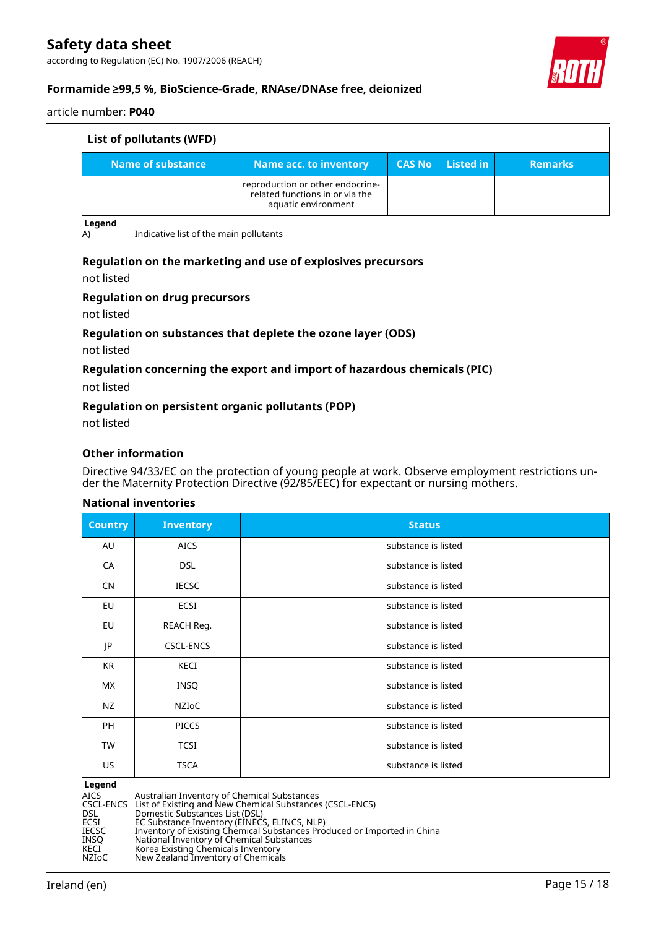according to Regulation (EC) No. 1907/2006 (REACH)



#### **Formamide ≥99,5 %, BioScience-Grade, RNAse/DNAse free, deionized**

#### article number: **P040**

| List of pollutants (WFD) |                                                                                            |               |                                         |                |
|--------------------------|--------------------------------------------------------------------------------------------|---------------|-----------------------------------------|----------------|
| Name of substance        | <b>Name acc. to inventory</b>                                                              | <b>CAS No</b> | $\blacksquare$ Listed in $\blacksquare$ | <b>Remarks</b> |
|                          | reproduction or other endocrine-<br>related functions in or via the<br>aquatic environment |               |                                         |                |

**Legend**

A) Indicative list of the main pollutants

#### **Regulation on the marketing and use of explosives precursors**

not listed

#### **Regulation on drug precursors**

not listed

#### **Regulation on substances that deplete the ozone layer (ODS)**

not listed

#### **Regulation concerning the export and import of hazardous chemicals (PIC)**

not listed

#### **Regulation on persistent organic pollutants (POP)**

not listed

#### **Other information**

Directive 94/33/EC on the protection of young people at work. Observe employment restrictions under the Maternity Protection Directive (92/85/EEC) for expectant or nursing mothers.

#### **National inventories**

| <b>Country</b> | <b>Inventory</b> | <b>Status</b>       |
|----------------|------------------|---------------------|
| AU             | <b>AICS</b>      | substance is listed |
| CA             | <b>DSL</b>       | substance is listed |
| <b>CN</b>      | <b>IECSC</b>     | substance is listed |
| EU             | ECSI             | substance is listed |
| EU             | REACH Reg.       | substance is listed |
| JP             | <b>CSCL-ENCS</b> | substance is listed |
| KR             | KECI             | substance is listed |
| МX             | INSQ             | substance is listed |
| NZ             | NZIoC            | substance is listed |
| PH             | <b>PICCS</b>     | substance is listed |
| <b>TW</b>      | <b>TCSI</b>      | substance is listed |
| US             | <b>TSCA</b>      | substance is listed |

# **Legend**<br>AICS<br>CSCL-ENCS

AICS Australian Inventory of Chemical Substances

CSCL-ENCS List of Existing and New Chemical Substances (CSCL-ENCS)

DSL Domestic Substances List (DSL)

ECSI EC Substance Inventory (EINECS, ELINCS, NLP)

IECSC Inventory of Existing Chemical Substances Produced or Imported in China

INSQ National Inventory of Chemical Substances

KECI Korea Existing Chemicals Inventory

NZIoC New Zealand Inventory of Chemicals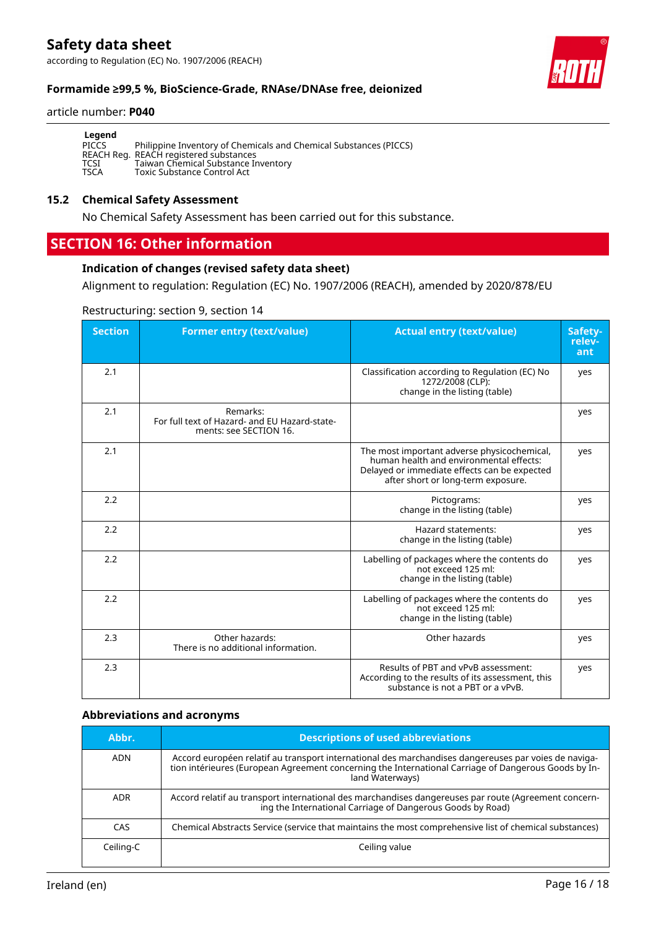according to Regulation (EC) No. 1907/2006 (REACH)

#### **Formamide ≥99,5 %, BioScience-Grade, RNAse/DNAse free, deionized**

#### article number: **P040**

| Legend      |                                                                   |
|-------------|-------------------------------------------------------------------|
| PICCS       | Philippine Inventory of Chemicals and Chemical Substances (PICCS) |
|             | REACH Reg. REACH registered substances                            |
| TCSI        | Taiwan Chemical Substance Inventory                               |
| <b>TSCA</b> | Toxic Substance Control Act                                       |

#### **15.2 Chemical Safety Assessment**

No Chemical Safety Assessment has been carried out for this substance.

### **SECTION 16: Other information**

#### **Indication of changes (revised safety data sheet)**

Alignment to regulation: Regulation (EC) No. 1907/2006 (REACH), amended by 2020/878/EU

#### Restructuring: section 9, section 14

| <b>Section</b> | <b>Former entry (text/value)</b>                                                    | <b>Actual entry (text/value)</b>                                                                                                                                             | Safety-<br>relev-<br>ant |
|----------------|-------------------------------------------------------------------------------------|------------------------------------------------------------------------------------------------------------------------------------------------------------------------------|--------------------------|
| 2.1            |                                                                                     | Classification according to Regulation (EC) No<br>1272/2008 (CLP):<br>change in the listing (table)                                                                          | yes                      |
| 2.1            | Remarks:<br>For full text of Hazard- and EU Hazard-state-<br>ments: see SECTION 16. |                                                                                                                                                                              | yes                      |
| 2.1            |                                                                                     | The most important adverse physicochemical,<br>human health and environmental effects:<br>Delayed or immediate effects can be expected<br>after short or long-term exposure. | yes                      |
| 2.2            |                                                                                     | Pictograms:<br>change in the listing (table)                                                                                                                                 | yes                      |
| 2.2            |                                                                                     | Hazard statements:<br>change in the listing (table)                                                                                                                          | yes                      |
| 2.2            |                                                                                     | Labelling of packages where the contents do<br>not exceed 125 ml:<br>change in the listing (table)                                                                           | yes                      |
| 2.2            |                                                                                     | Labelling of packages where the contents do<br>not exceed 125 ml:<br>change in the listing (table)                                                                           | yes                      |
| 2.3            | Other hazards:<br>There is no additional information.                               | Other hazards                                                                                                                                                                | yes                      |
| 2.3            |                                                                                     | Results of PBT and vPvB assessment:<br>According to the results of its assessment, this<br>substance is not a PBT or a vPvB.                                                 | yes                      |

#### **Abbreviations and acronyms**

| Abbr.      | <b>Descriptions of used abbreviations</b>                                                                                                                                                                                       |
|------------|---------------------------------------------------------------------------------------------------------------------------------------------------------------------------------------------------------------------------------|
| <b>ADN</b> | Accord européen relatif au transport international des marchandises dangereuses par voies de naviga-<br>tion intérieures (European Agreement concerning the International Carriage of Dangerous Goods by In-<br>land Waterways) |
| <b>ADR</b> | Accord relatif au transport international des marchandises dangereuses par route (Agreement concern-<br>ing the International Carriage of Dangerous Goods by Road)                                                              |
| CAS        | Chemical Abstracts Service (service that maintains the most comprehensive list of chemical substances)                                                                                                                          |
| Ceiling-C  | Ceiling value                                                                                                                                                                                                                   |

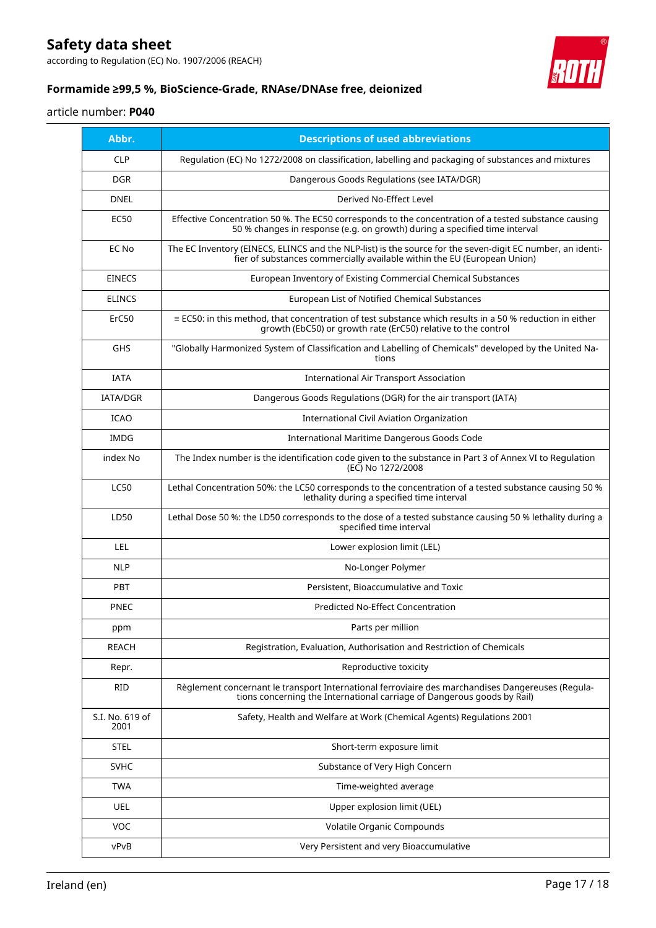according to Regulation (EC) No. 1907/2006 (REACH)



### **Formamide ≥99,5 %, BioScience-Grade, RNAse/DNAse free, deionized**

#### article number: **P040**

| Abbr.                   | <b>Descriptions of used abbreviations</b>                                                                                                                                              |
|-------------------------|----------------------------------------------------------------------------------------------------------------------------------------------------------------------------------------|
| <b>CLP</b>              | Regulation (EC) No 1272/2008 on classification, labelling and packaging of substances and mixtures                                                                                     |
| <b>DGR</b>              | Dangerous Goods Regulations (see IATA/DGR)                                                                                                                                             |
| <b>DNEL</b>             | Derived No-Effect Level                                                                                                                                                                |
| <b>EC50</b>             | Effective Concentration 50 %. The EC50 corresponds to the concentration of a tested substance causing<br>50 % changes in response (e.g. on growth) during a specified time interval    |
| EC No                   | The EC Inventory (EINECS, ELINCS and the NLP-list) is the source for the seven-digit EC number, an identi-<br>fier of substances commercially available within the EU (European Union) |
| <b>EINECS</b>           | European Inventory of Existing Commercial Chemical Substances                                                                                                                          |
| <b>ELINCS</b>           | European List of Notified Chemical Substances                                                                                                                                          |
| ErC50                   | $\equiv$ EC50: in this method, that concentration of test substance which results in a 50 % reduction in either<br>growth (EbC50) or growth rate (ErC50) relative to the control       |
| <b>GHS</b>              | "Globally Harmonized System of Classification and Labelling of Chemicals" developed by the United Na-<br>tions                                                                         |
| <b>IATA</b>             | <b>International Air Transport Association</b>                                                                                                                                         |
| <b>IATA/DGR</b>         | Dangerous Goods Regulations (DGR) for the air transport (IATA)                                                                                                                         |
| <b>ICAO</b>             | <b>International Civil Aviation Organization</b>                                                                                                                                       |
| IMDG                    | <b>International Maritime Dangerous Goods Code</b>                                                                                                                                     |
| index No                | The Index number is the identification code given to the substance in Part 3 of Annex VI to Regulation<br>(EC) No 1272/2008                                                            |
| <b>LC50</b>             | Lethal Concentration 50%: the LC50 corresponds to the concentration of a tested substance causing 50 %<br>lethality during a specified time interval                                   |
| LD50                    | Lethal Dose 50 %: the LD50 corresponds to the dose of a tested substance causing 50 % lethality during a<br>specified time interval                                                    |
| <b>LEL</b>              | Lower explosion limit (LEL)                                                                                                                                                            |
| <b>NLP</b>              | No-Longer Polymer                                                                                                                                                                      |
| <b>PBT</b>              | Persistent, Bioaccumulative and Toxic                                                                                                                                                  |
| <b>PNEC</b>             | <b>Predicted No-Effect Concentration</b>                                                                                                                                               |
| ppm                     | Parts per million                                                                                                                                                                      |
| <b>REACH</b>            | Registration, Evaluation, Authorisation and Restriction of Chemicals                                                                                                                   |
| Repr.                   | Reproductive toxicity                                                                                                                                                                  |
| <b>RID</b>              | Règlement concernant le transport International ferroviaire des marchandises Dangereuses (Regula-<br>tions concerning the International carriage of Dangerous goods by Rail)           |
| S.I. No. 619 of<br>2001 | Safety, Health and Welfare at Work (Chemical Agents) Regulations 2001                                                                                                                  |
| <b>STEL</b>             | Short-term exposure limit                                                                                                                                                              |
| <b>SVHC</b>             | Substance of Very High Concern                                                                                                                                                         |
| <b>TWA</b>              | Time-weighted average                                                                                                                                                                  |
| <b>UEL</b>              | Upper explosion limit (UEL)                                                                                                                                                            |
| VOC                     | Volatile Organic Compounds                                                                                                                                                             |
| vPvB                    | Very Persistent and very Bioaccumulative                                                                                                                                               |